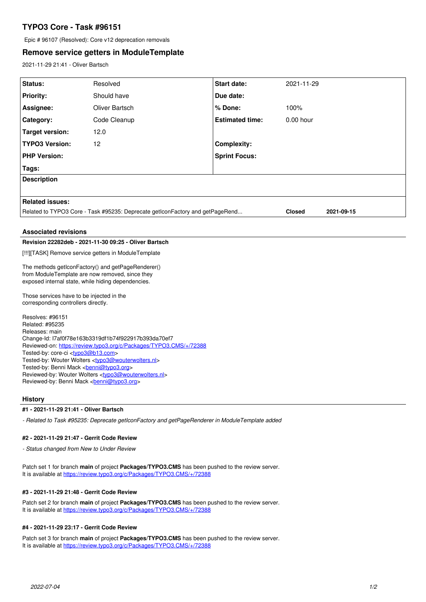# **TYPO3 Core - Task #96151**

Epic # 96107 (Resolved): Core v12 deprecation removals

# **Remove service getters in ModuleTemplate**

2021-11-29 21:41 - Oliver Bartsch

| Status:                                                                                                                                                     | Resolved                                                                      | <b>Start date:</b>     | 2021-11-29                  |  |
|-------------------------------------------------------------------------------------------------------------------------------------------------------------|-------------------------------------------------------------------------------|------------------------|-----------------------------|--|
| <b>Priority:</b>                                                                                                                                            | Should have                                                                   | Due date:              |                             |  |
| Assignee:                                                                                                                                                   | Oliver Bartsch                                                                | % Done:                | 100%                        |  |
| Category:                                                                                                                                                   | Code Cleanup                                                                  | <b>Estimated time:</b> | $0.00$ hour                 |  |
| <b>Target version:</b>                                                                                                                                      | 12.0                                                                          |                        |                             |  |
| <b>TYPO3 Version:</b>                                                                                                                                       | 12                                                                            | <b>Complexity:</b>     |                             |  |
| <b>PHP Version:</b>                                                                                                                                         |                                                                               | <b>Sprint Focus:</b>   |                             |  |
| Tags:                                                                                                                                                       |                                                                               |                        |                             |  |
| <b>Description</b>                                                                                                                                          |                                                                               |                        |                             |  |
|                                                                                                                                                             |                                                                               |                        |                             |  |
| <b>Related issues:</b>                                                                                                                                      |                                                                               |                        |                             |  |
|                                                                                                                                                             | Related to TYPO3 Core - Task #95235: Deprecate getIconFactory and getPageRend |                        | <b>Closed</b><br>2021-09-15 |  |
|                                                                                                                                                             |                                                                               |                        |                             |  |
| <b>Associated revisions</b>                                                                                                                                 |                                                                               |                        |                             |  |
| Revision 22282deb - 2021-11-30 09:25 - Oliver Bartsch                                                                                                       |                                                                               |                        |                             |  |
| [!!!][TASK] Remove service getters in ModuleTemplate                                                                                                        |                                                                               |                        |                             |  |
| The methods getIconFactory() and getPageRenderer()<br>from ModuleTemplate are now removed, since they<br>exposed internal state, while hiding dependencies. |                                                                               |                        |                             |  |
| Those services have to be injected in the<br>corresponding controllers directly.                                                                            |                                                                               |                        |                             |  |

Resolves: #96151 Related: #95235 Releases: main Change-Id: I7af0f78e163b3319df1b74f922917b393da70ef7 Reviewed-on:<https://review.typo3.org/c/Packages/TYPO3.CMS/+/72388> Tested-by: core-ci [<typo3@b13.com](mailto:typo3@b13.com)> Tested-by: Wouter Wolters [<typo3@wouterwolters.nl>](mailto:typo3@wouterwolters.nl) Tested-by: Benni Mack <br />
conni@typo3.org> Reviewed-by: Wouter Wolters <[typo3@wouterwolters.nl](mailto:typo3@wouterwolters.nl)> Reviewed-by: Benni Mack <br/> <br/>penni@typo3.org>

### **History**

### **#1 - 2021-11-29 21:41 - Oliver Bartsch**

*- Related to Task #95235: Deprecate getIconFactory and getPageRenderer in ModuleTemplate added*

#### **#2 - 2021-11-29 21:47 - Gerrit Code Review**

*- Status changed from New to Under Review*

Patch set 1 for branch **main** of project **Packages/TYPO3.CMS** has been pushed to the review server. It is available at <https://review.typo3.org/c/Packages/TYPO3.CMS/+/72388>

### **#3 - 2021-11-29 21:48 - Gerrit Code Review**

Patch set 2 for branch **main** of project **Packages/TYPO3.CMS** has been pushed to the review server. It is available at <https://review.typo3.org/c/Packages/TYPO3.CMS/+/72388>

#### **#4 - 2021-11-29 23:17 - Gerrit Code Review**

Patch set 3 for branch **main** of project **Packages/TYPO3.CMS** has been pushed to the review server. It is available at <https://review.typo3.org/c/Packages/TYPO3.CMS/+/72388>